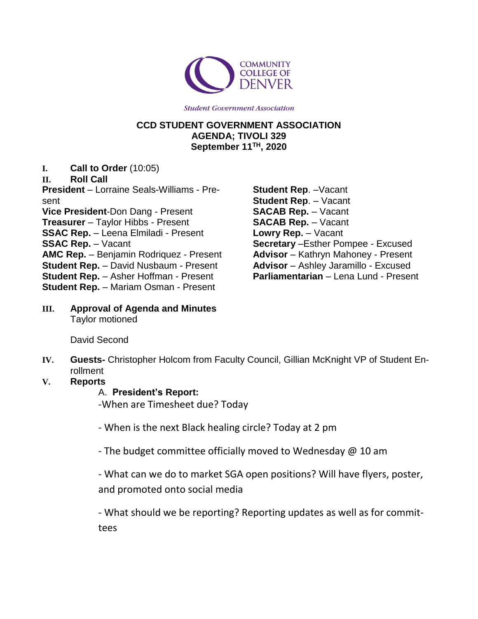

**Student Government Association** 

#### **CCD STUDENT GOVERNMENT ASSOCIATION AGENDA; TIVOLI 329 September 11TH, 2020**

**I. Call to Order** (10:05)

## **II. Roll Call**

**President** – Lorraine Seals-Williams - Present **Vice President**-Don Dang - Present **Treasurer** – Taylor Hibbs - Present **SSAC Rep.** – Leena Elmiladi - Present **SSAC Rep.** – Vacant **AMC Rep.** – Benjamin Rodriquez - Present **Student Rep.** – David Nusbaum - Present **Student Rep.** – Asher Hoffman - Present **Student Rep.** – Mariam Osman - Present

- **Student Rep**. –Vacant **Student Rep**. – Vacant **SACAB Rep.** – Vacant **SACAB Rep.** – Vacant **Lowry Rep.** – Vacant **Secretary** –Esther Pompee - Excused **Advisor** – Kathryn Mahoney - Present **Advisor** – Ashley Jaramillo - Excused **Parliamentarian** – Lena Lund - Present
- **III. Approval of Agenda and Minutes** Taylor motioned

David Second

- **IV. Guests-** Christopher Holcom from Faculty Council, Gillian McKnight VP of Student Enrollment
- **V. Reports**

## A. **President's Report:**

-When are Timesheet due? Today

- When is the next Black healing circle? Today at 2 pm
- The budget committee officially moved to Wednesday @ 10 am

- What can we do to market SGA open positions? Will have flyers, poster, and promoted onto social media

- What should we be reporting? Reporting updates as well as for committees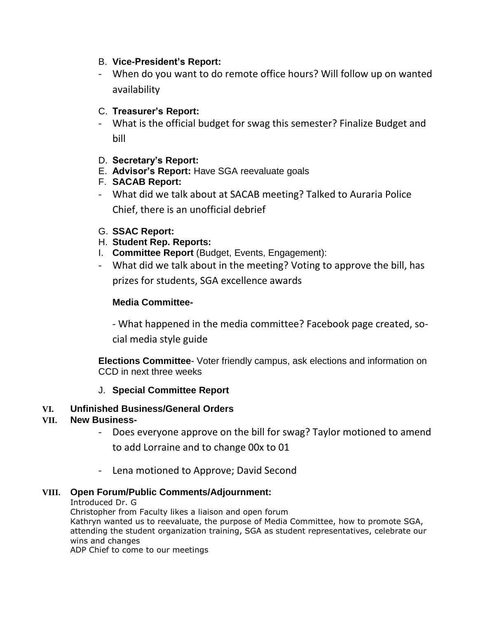## B. **Vice-President's Report:**

- When do you want to do remote office hours? Will follow up on wanted availability
- C. **Treasurer's Report:**
- What is the official budget for swag this semester? Finalize Budget and bill
- D. **Secretary's Report:**
- E. **Advisor's Report:** Have SGA reevaluate goals
- F. **SACAB Report:**
- What did we talk about at SACAB meeting? Talked to Auraria Police Chief, there is an unofficial debrief
- G. **SSAC Report:**
- H. **Student Rep. Reports:**
- I. **Committee Report** (Budget, Events, Engagement):
- What did we talk about in the meeting? Voting to approve the bill, has prizes for students, SGA excellence awards

# **Media Committee-**

- What happened in the media committee? Facebook page created, social media style guide

**Elections Committee**- Voter friendly campus, ask elections and information on CCD in next three weeks

## J. **Special Committee Report**

## **VI. Unfinished Business/General Orders**

## **VII. New Business-**

- Does everyone approve on the bill for swag? Taylor motioned to amend to add Lorraine and to change 00x to 01
- Lena motioned to Approve; David Second

## **VIII. Open Forum/Public Comments/Adjournment:**

#### Introduced Dr. G

Christopher from Faculty likes a liaison and open forum

Kathryn wanted us to reevaluate, the purpose of Media Committee, how to promote SGA, attending the student organization training, SGA as student representatives, celebrate our wins and changes

ADP Chief to come to our meetings